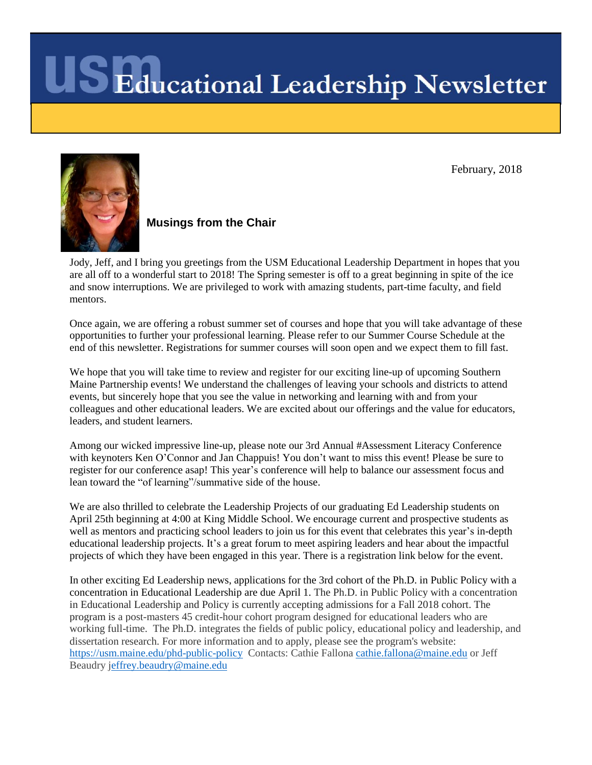February, 2018



**Musings from the Chair**

Jody, Jeff, and I bring you greetings from the USM Educational Leadership Department in hopes that you are all off to a wonderful start to 2018! The Spring semester is off to a great beginning in spite of the ice and snow interruptions. We are privileged to work with amazing students, part-time faculty, and field mentors.

Once again, we are offering a robust summer set of courses and hope that you will take advantage of these opportunities to further your professional learning. Please refer to our Summer Course Schedule at the end of this newsletter. Registrations for summer courses will soon open and we expect them to fill fast.

We hope that you will take time to review and register for our exciting line-up of upcoming Southern Maine Partnership events! We understand the challenges of leaving your schools and districts to attend events, but sincerely hope that you see the value in networking and learning with and from your colleagues and other educational leaders. We are excited about our offerings and the value for educators, leaders, and student learners.

Among our wicked impressive line-up, please note our 3rd Annual #Assessment Literacy Conference with keynoters Ken O'Connor and Jan Chappuis! You don't want to miss this event! Please be sure to register for our conference asap! This year's conference will help to balance our assessment focus and lean toward the "of learning"/summative side of the house.

We are also thrilled to celebrate the Leadership Projects of our graduating Ed Leadership students on April 25th beginning at 4:00 at King Middle School. We encourage current and prospective students as well as mentors and practicing school leaders to join us for this event that celebrates this year's in-depth educational leadership projects. It's a great forum to meet aspiring leaders and hear about the impactful projects of which they have been engaged in this year. There is a registration link below for the event.

In other exciting Ed Leadership news, applications for the 3rd cohort of the Ph.D. in Public Policy with a concentration in Educational Leadership are due April 1. The Ph.D. in Public Policy with a concentration in Educational Leadership and Policy is currently accepting admissions for a Fall 2018 cohort. The program is a post-masters 45 credit-hour cohort program designed for educational leaders who are working full-time. The Ph.D. integrates the fields of public policy, educational policy and leadership, and dissertation research. For more information and to apply, please see the program's website: <https://usm.maine.edu/phd-public-policy> Contacts: Cathie Fallona [cathie.fallona@maine.edu](mailto:cathie.fallona@maine.edu) or Jeff Beaudry [jeffrey.beaudry@maine.edu](mailto:Jeffrey.beaudry@maine.edu)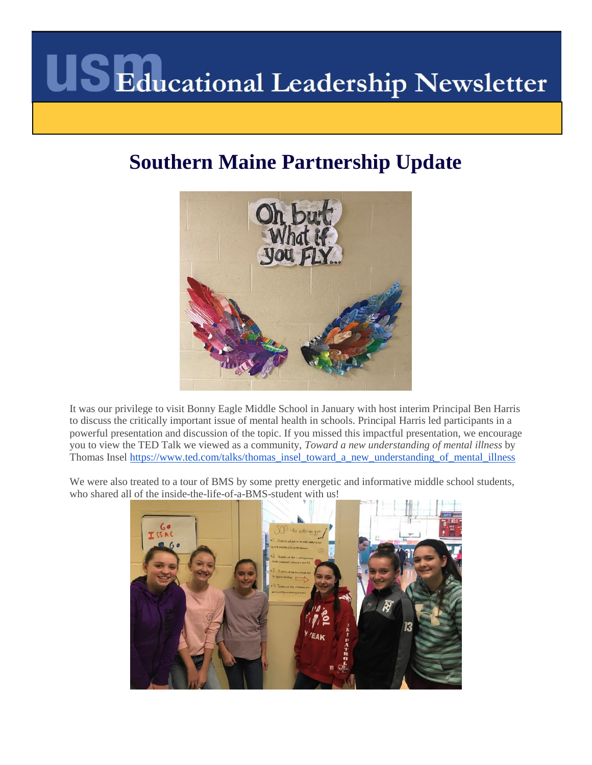## **Southern Maine Partnership Update**



It was our privilege to visit Bonny Eagle Middle School in January with host interim Principal Ben Harris to discuss the critically important issue of mental health in schools. Principal Harris led participants in a powerful presentation and discussion of the topic. If you missed this impactful presentation, we encourage you to view the TED Talk we viewed as a community, *Toward a new understanding of mental illness* by Thomas Insel [https://www.ted.com/talks/thomas\\_insel\\_toward\\_a\\_new\\_understanding\\_of\\_mental\\_illness](https://www.ted.com/talks/thomas_insel_toward_a_new_understanding_of_mental_illness)

We were also treated to a tour of BMS by some pretty energetic and informative middle school students, who shared all of the inside-the-life-of-a-BMS-student with us!

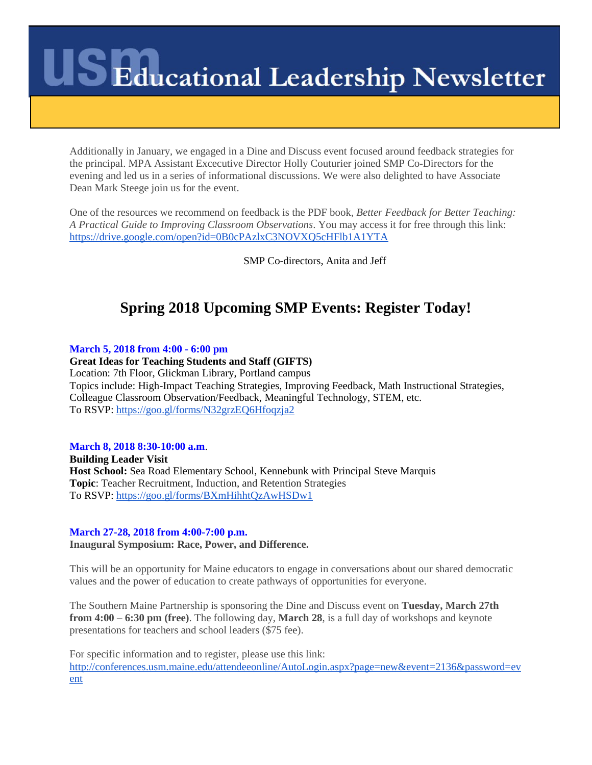

Additionally in January, we engaged in a Dine and Discuss event focused around feedback strategies for the principal. MPA Assistant Excecutive Director Holly Couturier joined SMP Co-Directors for the evening and led us in a series of informational discussions. We were also delighted to have Associate Dean Mark Steege join us for the event.

One of the resources we recommend on feedback is the PDF book, *Better Feedback for Better Teaching: A Practical Guide to Improving Classroom Observations*. You may access it for free through this link: <https://drive.google.com/open?id=0B0cPAzlxC3NOVXQ5cHFlb1A1YTA>

SMP Co-directors, Anita and Jeff

### **Spring 2018 Upcoming SMP Events: Register Today!**

**March 5, 2018 from 4:00 - 6:00 pm**

**Great Ideas for Teaching Students and Staff (GIFTS)** Location: 7th Floor, Glickman Library, Portland campus Topics include: High-Impact Teaching Strategies, Improving Feedback, Math Instructional Strategies, Colleague Classroom Observation/Feedback, Meaningful Technology, STEM, etc.

To RSVP: <https://goo.gl/forms/N32grzEQ6Hfoqzja2>

#### **March 8, 2018 8:30-10:00 a.m**.

**Building Leader Visit Host School:** Sea Road Elementary School, Kennebunk with Principal Steve Marquis **Topic**: Teacher Recruitment, Induction, and Retention Strategies To RSVP: <https://goo.gl/forms/BXmHihhtQzAwHSDw1>

#### **March 27-28, 2018 from 4:00-7:00 p.m.**

**Inaugural Symposium: Race, Power, and Difference.**

This will be an opportunity for Maine educators to engage in conversations about our shared democratic values and the power of education to create pathways of opportunities for everyone.

The Southern Maine Partnership is sponsoring the Dine and Discuss event on **Tuesday, March 27th from 4:00 – 6:30 pm (free)**. The following day, **March 28**, is a full day of workshops and keynote presentations for teachers and school leaders (\$75 fee).

For specific information and to register, please use this link: [http://conferences.usm.maine.edu/attendeeonline/AutoLogin.aspx?page=new&event=2136&password=ev](http://conferences.usm.maine.edu/attendeeonline/AutoLogin.aspx?page=new&event=2136&password=event) [ent](http://conferences.usm.maine.edu/attendeeonline/AutoLogin.aspx?page=new&event=2136&password=event)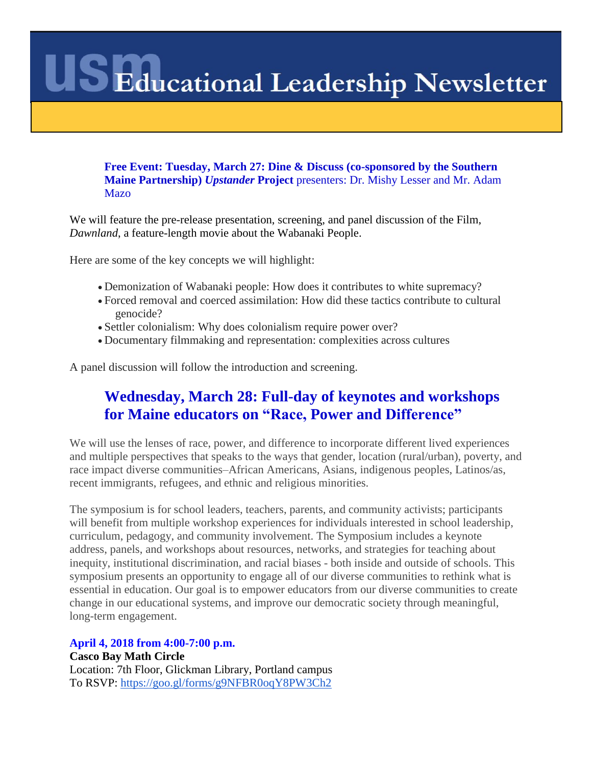**Free Event: Tuesday, March 27: Dine & Discuss (co-sponsored by the Southern Maine Partnership)** *Upstander* **Project** presenters: Dr. Mishy Lesser and Mr. Adam **Mazo** 

We will feature the pre-release presentation, screening, and panel discussion of the Film, *Dawnland*, a feature-length movie about the Wabanaki People.

Here are some of the key concepts we will highlight:

- Demonization of Wabanaki people: How does it contributes to white supremacy?
- Forced removal and coerced assimilation: How did these tactics contribute to cultural genocide?
- Settler colonialism: Why does colonialism require power over?
- Documentary filmmaking and representation: complexities across cultures

A panel discussion will follow the introduction and screening.

### **Wednesday, March 28: Full-day of keynotes and workshops for Maine educators on "Race, Power and Difference"**

We will use the lenses of race, power, and difference to incorporate different lived experiences and multiple perspectives that speaks to the ways that gender, location (rural/urban), poverty, and race impact diverse communities–African Americans, Asians, indigenous peoples, Latinos/as, recent immigrants, refugees, and ethnic and religious minorities.

The symposium is for school leaders, teachers, parents, and community activists; participants will benefit from multiple workshop experiences for individuals interested in school leadership, curriculum, pedagogy, and community involvement. The Symposium includes a keynote address, panels, and workshops about resources, networks, and strategies for teaching about inequity, institutional discrimination, and racial biases - both inside and outside of schools. This symposium presents an opportunity to engage all of our diverse communities to rethink what is essential in education. Our goal is to empower educators from our diverse communities to create change in our educational systems, and improve our democratic society through meaningful, long-term engagement.

**April 4, 2018 from 4:00-7:00 p.m. Casco Bay Math Circle** Location: 7th Floor, Glickman Library, Portland campus To RSVP: <https://goo.gl/forms/g9NFBR0oqY8PW3Ch2>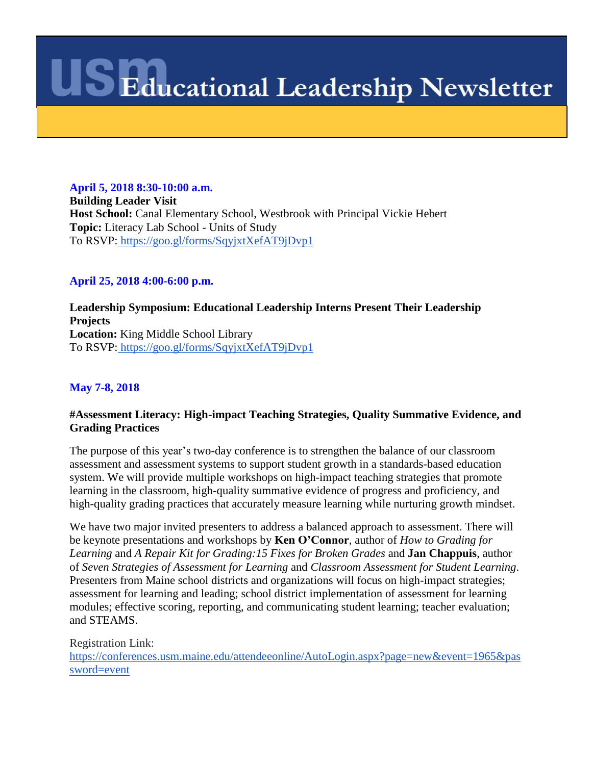#### **April 5, 2018 8:30-10:00 a.m.**

**Building Leader Visit Host School:** Canal Elementary School, Westbrook with Principal Vickie Hebert **Topic:** Literacy Lab School - Units of Study To RSVP: <https://goo.gl/forms/SqyjxtXefAT9jDvp1>

#### **April 25, 2018 4:00-6:00 p.m.**

**Leadership Symposium: Educational Leadership Interns Present Their Leadership Projects Location:** King Middle School Library To RSVP: <https://goo.gl/forms/SqyjxtXefAT9jDvp1>

#### **May 7-8, 2018**

#### **#Assessment Literacy: High-impact Teaching Strategies, Quality Summative Evidence, and Grading Practices**

The purpose of this year's two-day conference is to strengthen the balance of our classroom assessment and assessment systems to support student growth in a standards-based education system. We will provide multiple workshops on high-impact teaching strategies that promote learning in the classroom, high-quality summative evidence of progress and proficiency, and high-quality grading practices that accurately measure learning while nurturing growth mindset.

We have two major invited presenters to address a balanced approach to assessment. There will be keynote presentations and workshops by **Ken O'Connor**, author of *How to Grading for Learning* and *A Repair Kit for Grading:15 Fixes for Broken Grades* and **Jan Chappuis**, author of *Seven Strategies of Assessment for Learning* and *Classroom Assessment for Student Learning*. Presenters from Maine school districts and organizations will focus on high-impact strategies; assessment for learning and leading; school district implementation of assessment for learning modules; effective scoring, reporting, and communicating student learning; teacher evaluation; and STEAMS.

#### Registration Link:

[https://conferences.usm.maine.edu/attendeeonline/AutoLogin.aspx?page=new&event=1965&pas](https://conferences.usm.maine.edu/attendeeonline/AutoLogin.aspx?page=new&event=1965&password=event) [sword=event](https://conferences.usm.maine.edu/attendeeonline/AutoLogin.aspx?page=new&event=1965&password=event)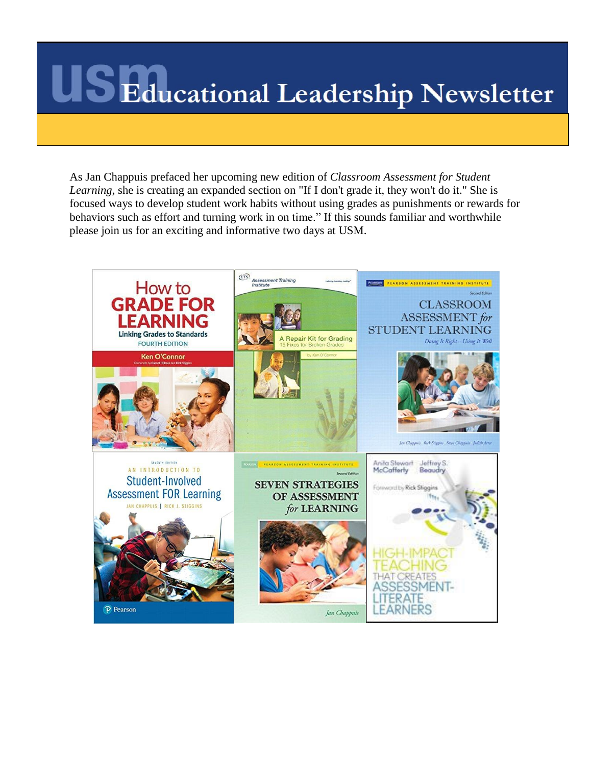As Jan Chappuis prefaced her upcoming new edition of *Classroom Assessment for Student Learning*, she is creating an expanded section on "If I don't grade it, they won't do it." She is focused ways to develop student work habits without using grades as punishments or rewards for behaviors such as effort and turning work in on time." If this sounds familiar and worthwhile please join us for an exciting and informative two days at USM.

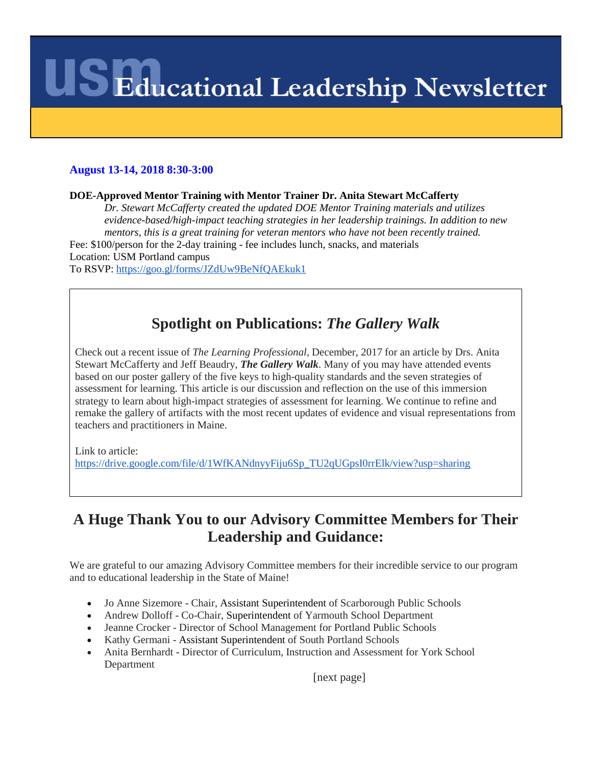#### **August 13-14, 2018 8:30-3:00**

#### **DOE-Approved Mentor Training with Mentor Trainer Dr. Anita Stewart McCafferty**

*Dr. Stewart McCafferty created the updated DOE Mentor Training materials and utilizes evidence-based/high-impact teaching strategies in her leadership trainings. In addition to new mentors, this is a great training for veteran mentors who have not been recently trained.* Fee: \$100/person for the 2-day training - fee includes lunch, snacks, and materials Location: USM Portland campus To RSVP: <https://goo.gl/forms/JZdUw9BeNfQAEkuk1>

### **Spotlight on Publications:** *The Gallery Walk*

Check out a recent issue of *The Learning Professional*, December, 2017 for an article by Drs. Anita Stewart McCafferty and Jeff Beaudry, *The Gallery Walk*. Many of you may have attended events based on our poster gallery of the five keys to high-quality standards and the seven strategies of assessment for learning. This article is our discussion and reflection on the use of this immersion strategy to learn about high-impact strategies of assessment for learning. We continue to refine and remake the gallery of artifacts with the most recent updates of evidence and visual representations from teachers and practitioners in Maine.

Link to article:

[https://drive.google.com/file/d/1WfKANdnyyFiju6Sp\\_TU2qUGpsI0rrElk/view?usp=sharing](https://drive.google.com/file/d/1WfKANdnyyFiju6Sp_TU2qUGpsI0rrElk/view?usp=sharing)

### **A Huge Thank You to our Advisory Committee Members for Their Leadership and Guidance:**

We are grateful to our amazing Advisory Committee members for their incredible service to our program and to educational leadership in the State of Maine!

- Jo Anne Sizemore Chair, Assistant Superintendent of Scarborough Public Schools
- Andrew Dolloff Co-Chair, Superintendent of Yarmouth School Department
- Jeanne Crocker Director of School Management for Portland Public Schools
- Kathy Germani Assistant Superintendent of South Portland Schools
- Anita Bernhardt Director of Curriculum, Instruction and Assessment for York School Department

[next page]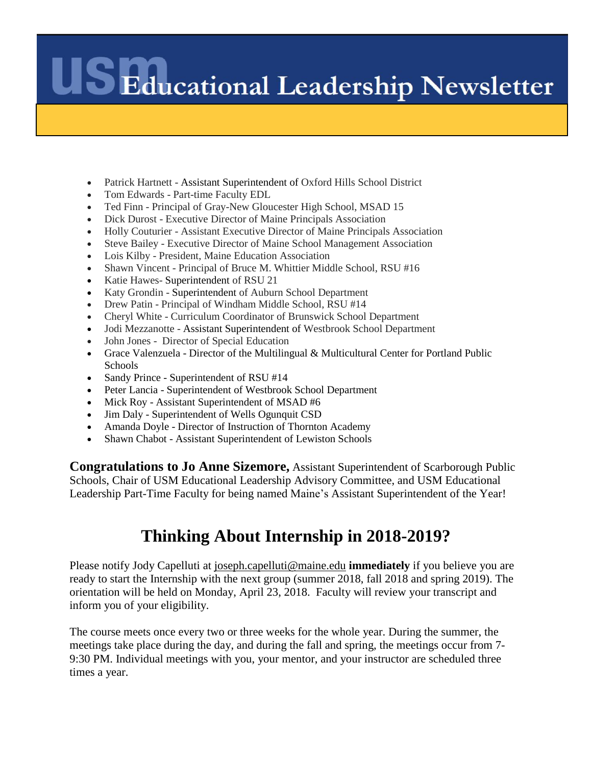- Patrick Hartnett Assistant Superintendent of Oxford Hills School District
- Tom Edwards Part-time Faculty EDL
- Ted Finn Principal of Gray-New Gloucester High School, MSAD 15
- Dick Durost Executive Director of Maine Principals Association
- Holly Couturier Assistant Executive Director of Maine Principals Association
- Steve Bailey Executive Director of Maine School Management Association
- Lois Kilby President, Maine Education Association
- Shawn Vincent Principal of Bruce M. Whittier Middle School, RSU #16
- Katie Hawes- Superintendent of RSU 21
- Katy Grondin Superintendent of Auburn School Department
- Drew Patin Principal of Windham Middle School, RSU #14
- Cheryl White Curriculum Coordinator of Brunswick School Department
- Jodi Mezzanotte Assistant Superintendent of Westbrook School Department
- John Jones Director of Special Education
- Grace Valenzuela Director of the Multilingual & Multicultural Center for Portland Public Schools
- Sandy Prince Superintendent of RSU #14
- Peter Lancia Superintendent of Westbrook School Department
- Mick Roy Assistant Superintendent of MSAD #6
- Jim Daly Superintendent of Wells Ogunquit CSD
- Amanda Doyle Director of Instruction of Thornton Academy
- Shawn Chabot Assistant Superintendent of Lewiston Schools

**Congratulations to Jo Anne Sizemore,** Assistant Superintendent of Scarborough Public Schools, Chair of USM Educational Leadership Advisory Committee, and USM Educational Leadership Part-Time Faculty for being named Maine's Assistant Superintendent of the Year!

### **Thinking About Internship in 2018-2019?**

Please notify Jody Capelluti at [joseph.capelluti@maine.edu](mailto:joseph.capelluti@maine.edu) **immediately** if you believe you are ready to start the Internship with the next group (summer 2018, fall 2018 and spring 2019). The orientation will be held on Monday, April 23, 2018. Faculty will review your transcript and inform you of your eligibility.

The course meets once every two or three weeks for the whole year. During the summer, the meetings take place during the day, and during the fall and spring, the meetings occur from 7- 9:30 PM. Individual meetings with you, your mentor, and your instructor are scheduled three times a year.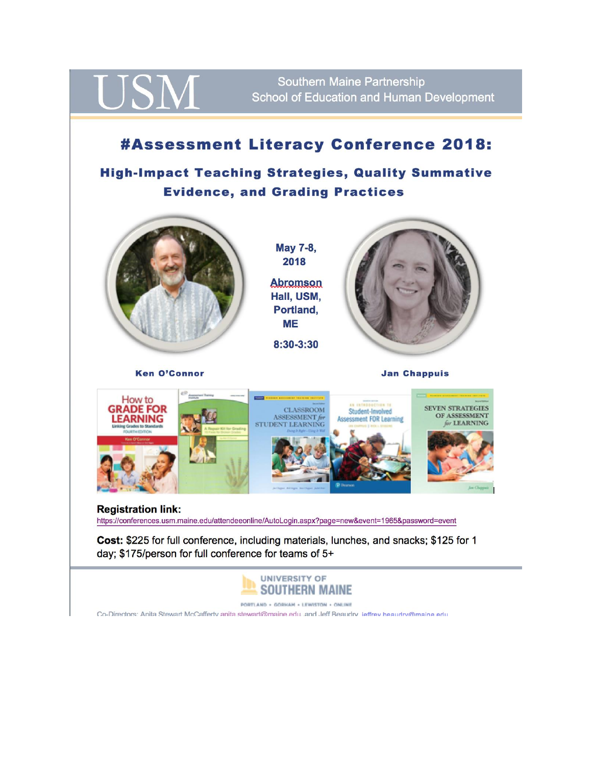



PORTLAND + GOBHAM + LEWISTON + ONLINE

Co-Directors: Anita Stewart McCafferty anita stewart@maine.edu\_and Jeff Beaudry\_ieffrey beaudry@maine.edu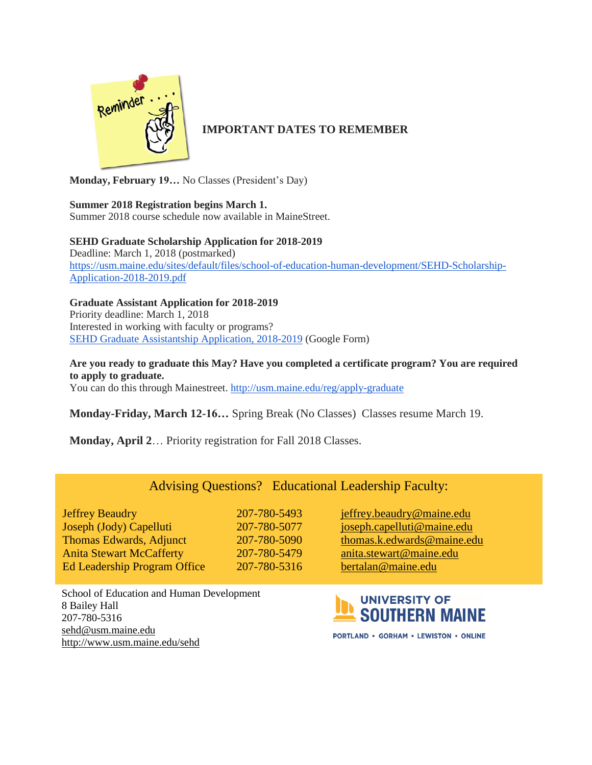

#### **IMPORTANT DATES TO REMEMBER**

**Monday, February 19…** No Classes (President's Day)

#### **Summer 2018 Registration begins March 1.**

Summer 2018 course schedule now available in MaineStreet.

#### **SEHD Graduate Scholarship Application for 2018-2019** Deadline: March 1, 2018 (postmarked) [https://usm.maine.edu/sites/default/files/school-of-education-human-development/SEHD-Scholarship-](https://usm.maine.edu/sites/default/files/school-of-education-human-development/SEHD-Scholarship-Application-2018-2019.pdf)[Application-2018-2019.pdf](https://usm.maine.edu/sites/default/files/school-of-education-human-development/SEHD-Scholarship-Application-2018-2019.pdf)

#### **Graduate Assistant Application for 2018-2019**

Priority deadline: March 1, 2018 Interested in working with faculty or programs? SEHD Graduate [Assistantship](https://goo.gl/forms/vV6jDImJqDGKtMBU2) Application, 2018-2019 (Google Form)

#### **Are you ready to graduate this May? Have you completed a certificate program? You are required to apply to graduate.**

You can do this through Mainestreet. <http://usm.maine.edu/reg/apply-graduate>

**Monday-Friday, March 12-16…** Spring Break (No Classes) Classes resume March 19.

**Monday, April 2**… Priority registration for Fall 2018 Classes.

#### Advising Questions? Educational Leadership Faculty:

Jeffrey Beaudry 207-780-5493 [jeffrey.beaudry@maine.edu](mailto:jeffrey.beaudry@maine.edu) Joseph (Jody) Capelluti 207-780-5077 [joseph.capelluti@maine.edu](mailto:joseph.capelluti@maine.edu) Thomas Edwards, Adjunct 207-780-5090 [thomas.k.edwards@maine.edu](mailto:thomas.k.edwards@maine.edu) Anita Stewart McCafferty 207-780-5479 [anita.stewart@maine.edu](mailto:anita.stewart@maine.edu) Ed Leadership Program Office 207-780-5316 [bertalan@maine.edu](mailto:bertalan@maine.edu)

School of Education and Human Development 8 Bailey Hall 207-780-5316 [sehd@usm.maine.edu](mailto:sehd@usm.maine.edu) <http://www.usm.maine.edu/sehd>



**PORTLAND · GORHAM · LEWISTON · ONLINE**